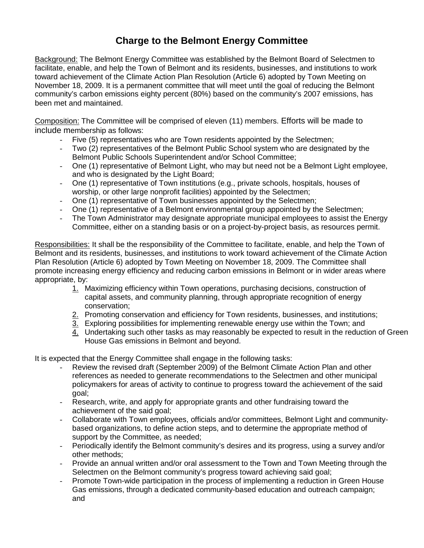## **Charge to the Belmont Energy Committee**

Background: The Belmont Energy Committee was established by the Belmont Board of Selectmen to facilitate, enable, and help the Town of Belmont and its residents, businesses, and institutions to work toward achievement of the Climate Action Plan Resolution (Article 6) adopted by Town Meeting on November 18, 2009. It is a permanent committee that will meet until the goal of reducing the Belmont community's carbon emissions eighty percent (80%) based on the community's 2007 emissions, has been met and maintained.

Composition: The Committee will be comprised of eleven (11) members. Efforts will be made to include membership as follows:

- Five (5) representatives who are Town residents appointed by the Selectmen;
- Two (2) representatives of the Belmont Public School system who are designated by the Belmont Public Schools Superintendent and/or School Committee;
- One (1) representative of Belmont Light, who may but need not be a Belmont Light employee, and who is designated by the Light Board;
- One (1) representative of Town institutions (e.g., private schools, hospitals, houses of worship, or other large nonprofit facilities) appointed by the Selectmen;
- One (1) representative of Town businesses appointed by the Selectmen;
- One (1) representative of a Belmont environmental group appointed by the Selectmen;
- The Town Administrator may designate appropriate municipal employees to assist the Energy Committee, either on a standing basis or on a project-by-project basis, as resources permit.

Responsibilities: It shall be the responsibility of the Committee to facilitate, enable, and help the Town of Belmont and its residents, businesses, and institutions to work toward achievement of the Climate Action Plan Resolution (Article 6) adopted by Town Meeting on November 18, 2009. The Committee shall promote increasing energy efficiency and reducing carbon emissions in Belmont or in wider areas where appropriate, by:

- 1. Maximizing efficiency within Town operations, purchasing decisions, construction of capital assets, and community planning, through appropriate recognition of energy conservation;
- 2. Promoting conservation and efficiency for Town residents, businesses, and institutions:
- 3. Exploring possibilities for implementing renewable energy use within the Town; and
- 4. Undertaking such other tasks as may reasonably be expected to result in the reduction of Green House Gas emissions in Belmont and beyond.

It is expected that the Energy Committee shall engage in the following tasks:

- Review the revised draft (September 2009) of the Belmont Climate Action Plan and other references as needed to generate recommendations to the Selectmen and other municipal policymakers for areas of activity to continue to progress toward the achievement of the said goal;
- Research, write, and apply for appropriate grants and other fundraising toward the achievement of the said goal;
- Collaborate with Town employees, officials and/or committees, Belmont Light and communitybased organizations, to define action steps, and to determine the appropriate method of support by the Committee, as needed;
- Periodically identify the Belmont community's desires and its progress, using a survey and/or other methods;
- Provide an annual written and/or oral assessment to the Town and Town Meeting through the Selectmen on the Belmont community's progress toward achieving said goal;
- Promote Town-wide participation in the process of implementing a reduction in Green House Gas emissions, through a dedicated community-based education and outreach campaign; and